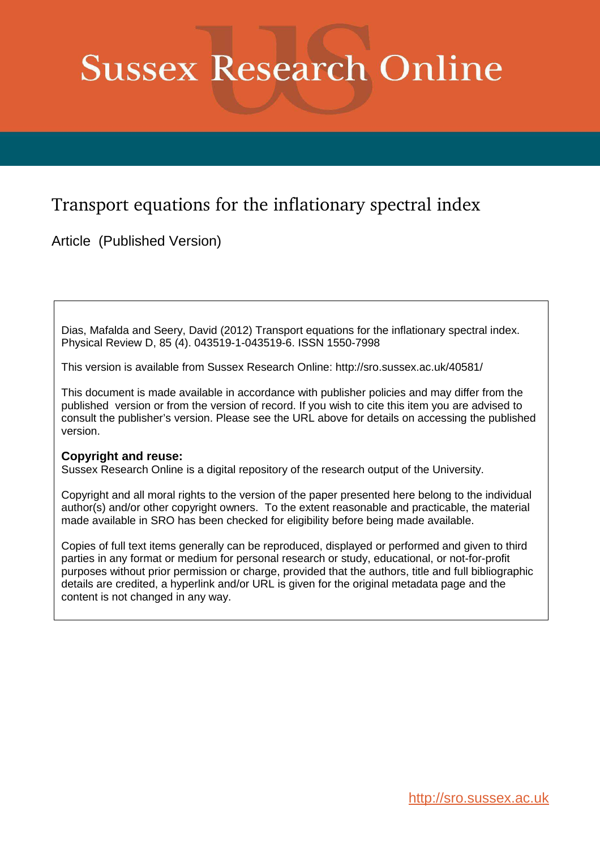# **Sussex Research Online**

# Transport equations for the inflationary spectral index

Article (Published Version)

Dias, Mafalda and Seery, David (2012) Transport equations for the inflationary spectral index. Physical Review D, 85 (4). 043519-1-043519-6. ISSN 1550-7998

<span id="page-0-0"></span>This version is available from Sussex Research Online: http://sro.sussex.ac.uk/40581/

This document is made available in accordance with publisher policies and may differ from the published version or from the version of record. If you wish to cite this item you are advised to consult the publisher's version. Please see the URL above for details on accessing the published version.

# **Copyright and reuse:**

Sussex Research Online is a digital repository of the research output of the University.

Copyright and all moral rights to the version of the paper presented here belong to the individual author(s) and/or other copyright owners. To the extent reasonable and practicable, the material made available in SRO has been checked for eligibility before being made available.

Copies of full text items generally can be reproduced, displayed or performed and given to third parties in any format or medium for personal research or study, educational, or not-for-profit purposes without prior permission or charge, provided that the authors, title and full bibliographic details are credited, a hyperlink and/or URL is given for the original metadata page and the content is not changed in any way.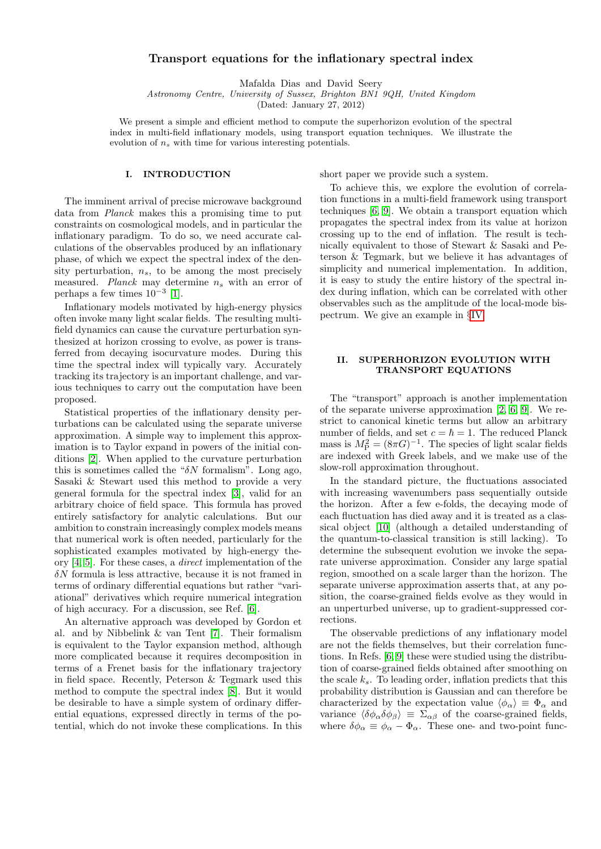# Transport equations for the inflationary spectral index

Mafalda Dias and David Seery

Astronomy Centre, University of Sussex, Brighton BN1 9QH, United Kingdom

<span id="page-1-2"></span><span id="page-1-1"></span>(Dated: January 27, 2012)

We present a simple and efficient method to compute the superhorizon evolution of the spectral index in multi-field inflationary models, using transport equation techniques. We illustrate the evolution of  $n_s$  with time for various interesting potentials.

## I. INTRODUCTION

The imminent arrival of precise microwave background data from Planck makes this a promising time to put constraints on cosmological models, and in particular the inflationary paradigm. To do so, we need accurate calculations of the observables produced by an inflationary phase, of which we expect the spectral index of the density perturbation,  $n_s$ , to be among the most precisely measured. Planck may determine  $n_s$  with an error of perhaps a few times  $10^{-3}$  [\[1\]](#page-4-0).

Inflationary models motivated by high-energy physics often invoke many light scalar fields. The resulting multifield dynamics can cause the curvature perturbation synthesized at horizon crossing to evolve, as power is transferred from decaying isocurvature modes. During this time the spectral index will typically vary. Accurately tracking its trajectory is an important challenge, and various techniques to carry out the computation have been proposed.

<span id="page-1-4"></span>Statistical properties of the inflationary density perturbations can be calculated using the separate universe approximation. A simple way to implement this approximation is to Taylor expand in powers of the initial conditions [\[2\]](#page-4-1). When applied to the curvature perturbation this is sometimes called the " $\delta N$  formalism". Long ago, Sasaki & Stewart used this method to provide a very general formula for the spectral index [\[3\]](#page-4-2), valid for an arbitrary choice of field space. This formula has proved entirely satisfactory for analytic calculations. But our ambition to constrain increasingly complex models means that numerical work is often needed, particularly for the sophisticated examples motivated by high-energy theory [\[4,](#page-4-3) [5\]](#page-4-4). For these cases, a direct implementation of the  $\delta N$  formula is less attractive, because it is not framed in terms of ordinary differential equations but rather "variational" derivatives which require numerical integration of high accuracy. For a discussion, see Ref. [\[6\]](#page-4-5).

<span id="page-1-0"></span>An alternative approach was developed by Gordon et al. and by Nibbelink & van Tent [\[7\]](#page-4-6). Their formalism is equivalent to the Taylor expansion method, although more complicated because it requires decomposition in terms of a Frenet basis for the inflationary trajectory in field space. Recently, Peterson & Tegmark used this method to compute the spectral index [\[8\]](#page-4-7). But it would be desirable to have a simple system of ordinary differential equations, expressed directly in terms of the potential, which do not invoke these complications. In this <span id="page-1-5"></span>short paper we provide such a system.

To achieve this, we explore the evolution of correlation functions in a multi-field framework using transport techniques [\[6,](#page-4-5) [9\]](#page-4-8). We obtain a transport equation which propagates the spectral index from its value at horizon crossing up to the end of inflation. The result is technically equivalent to those of Stewart & Sasaki and Peterson & Tegmark, but we believe it has advantages of simplicity and numerical implementation. In addition, it is easy to study the entire history of the spectral index during inflation, which can be correlated with other observables such as the amplitude of the local-mode bispectrum. We give an example in §[IV.](#page-2-0)

# II. SUPERHORIZON EVOLUTION WITH TRANSPORT EQUATIONS

<span id="page-1-3"></span>The "transport" approach is another implementation of the separate universe approximation [\[2,](#page-4-1) [6,](#page-4-5) [9\]](#page-4-8). We restrict to canonical kinetic terms but allow an arbitrary number of fields, and set  $c = \hbar = 1$ . The reduced Planck mass is  $M_P^2 = (8\pi G)^{-1}$ . The species of light scalar fields are indexed with Greek labels, and we make use of the slow-roll approximation throughout.

<span id="page-1-7"></span>In the standard picture, the fluctuations associated with increasing wavenumbers pass sequentially outside the horizon. After a few e-folds, the decaying mode of each fluctuation has died away and it is treated as a classical object [\[10\]](#page-4-9) (although a detailed understanding of the quantum-to-classical transition is still lacking). To determine the subsequent evolution we invoke the separate universe approximation. Consider any large spatial region, smoothed on a scale larger than the horizon. The separate universe approximation asserts that, at any position, the coarse-grained fields evolve as they would in an unperturbed universe, up to gradient-suppressed corrections.

<span id="page-1-6"></span>The observable predictions of any inflationary model are not the fields themselves, but their correlation functions. In Refs. [\[6,](#page-4-5) [9\]](#page-4-8) these were studied using the distribution of coarse-grained fields obtained after smoothing on the scale  $k_s$ . To leading order, inflation predicts that this probability distribution is Gaussian and can therefore be characterized by the expectation value  $\langle \phi_{\alpha} \rangle \equiv \Phi_{\alpha}$  and variance  $\langle \delta \phi_\alpha \delta \phi_\beta \rangle \equiv \Sigma_{\alpha\beta}$  of the coarse-grained fields, where  $\delta \phi_{\alpha} \equiv \phi_{\alpha} - \Phi_{\alpha}$ . These one- and two-point func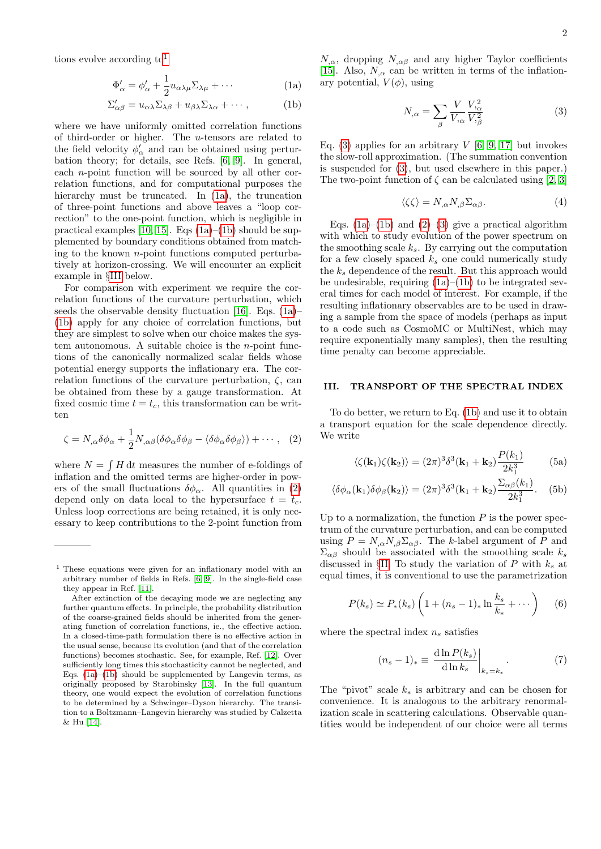tions evolve according to<sup>[1](#page-1-0)</sup>

$$
\Phi'_{\alpha} = \phi'_{\alpha} + \frac{1}{2} u_{\alpha\lambda\mu} \Sigma_{\lambda\mu} + \cdots
$$
 (1a)

$$
\Sigma'_{\alpha\beta} = u_{\alpha\lambda} \Sigma_{\lambda\beta} + u_{\beta\lambda} \Sigma_{\lambda\alpha} + \cdots, \qquad (1b)
$$

<span id="page-2-2"></span>where we have uniformly omitted correlation functions of third-order or higher. The u-tensors are related to the field velocity  $\phi'_{\alpha}$  and can be obtained using perturbation theory; for details, see Refs. [\[6,](#page-4-5) [9\]](#page-4-8). In general, each n-point function will be sourced by all other correlation functions, and for computational purposes the hierarchy must be truncated. In  $(1a)$ , the truncation of three-point functions and above leaves a "loop correction" to the one-point function, which is negligible in practical examples [\[10,](#page-4-10) [15\]](#page-4-11). Eqs  $(1a)–(1b)$  $(1a)–(1b)$  should be supplemented by boundary conditions obtained from matching to the known  $n$ -point functions computed perturbatively at horizon-crossing. We will encounter an explicit example in §[III](#page-1-3) below.

<span id="page-2-1"></span>For comparison with experiment we require the correlation functions of the curvature perturbation, which seeds the observable density fluctuation [\[16\]](#page-4-12). Eqs. [\(1a\)](#page-1-1)– [\(1b\)](#page-1-2) apply for any choice of correlation functions, but they are simplest to solve when our choice makes the system autonomous. A suitable choice is the  $n$ -point functions of the canonically normalized scalar fields whose potential energy supports the inflationary era. The correlation functions of the curvature perturbation,  $\zeta$ , can be obtained from these by a gauge transformation. At fixed cosmic time  $t = t_c$ , this transformation can be written

$$
\zeta = N_{,\alpha}\delta\phi_{\alpha} + \frac{1}{2}N_{,\alpha\beta}(\delta\phi_{\alpha}\delta\phi_{\beta} - \langle \delta\phi_{\alpha}\delta\phi_{\beta} \rangle) + \cdots, \quad (2)
$$

where  $N = \int H dt$  measures the number of e-foldings of inflation and the omitted terms are higher-order in powers of the small fluctuations  $\delta \phi_{\alpha}$ . All quantities in [\(2\)](#page-1-4) depend only on data local to the hypersurface  $t = t_c$ . Unless loop corrections are being retained, it is only necessary to keep contributions to the 2-point function from

 $N_{,\alpha}$ , dropping  $N_{,\alpha\beta}$  and any higher Taylor coefficients [\[15\]](#page-4-17). Also,  $N_{,\alpha}$  can be written in terms of the inflationary potential,  $V(\phi)$ , using

$$
N_{,\alpha} = \sum_{\beta} \frac{V}{V_{,\alpha}} \frac{V_{,\alpha}^2}{V_{,\beta}^2} \tag{3}
$$

Eq. [\(3\)](#page-1-5) applies for an arbitrary  $V$  [\[6,](#page-4-5) [9,](#page-4-8) [17\]](#page-4-18) but invokes the slow-roll approximation. (The summation convention is suspended for [\(3\)](#page-1-5), but used elsewhere in this paper.) The two-point function of  $\zeta$  can be calculated using [\[2,](#page-4-1) [3\]](#page-4-2)

$$
\langle \zeta \zeta \rangle = N_{,\alpha} N_{,\beta} \Sigma_{\alpha \beta}.
$$
 (4)

<span id="page-2-4"></span>Eqs. [\(1a\)](#page-1-1)–[\(1b\)](#page-1-2) and [\(2\)](#page-1-4)–[\(3\)](#page-1-5) give a practical algorithm with which to study evolution of the power spectrum on the smoothing scale  $k_s$ . By carrying out the computation for a few closely spaced  $k_s$  one could numerically study the  $k_s$  dependence of the result. But this approach would be undesirable, requiring  $(1a)$ – $(1b)$  to be integrated several times for each model of interest. For example, if the resulting inflationary observables are to be used in drawing a sample from the space of models (perhaps as input to a code such as CosmoMC or MultiNest, which may require exponentially many samples), then the resulting time penalty can become appreciable.

#### III. TRANSPORT OF THE SPECTRAL INDEX

To do better, we return to Eq. [\(1b\)](#page-1-2) and use it to obtain a transport equation for the scale dependence directly. We write

<span id="page-2-5"></span><span id="page-2-0"></span>
$$
\langle \zeta(\mathbf{k}_1)\zeta(\mathbf{k}_2)\rangle = (2\pi)^3 \delta^3(\mathbf{k}_1 + \mathbf{k}_2) \frac{P(k_1)}{2k_1^3}
$$
 (5a)

$$
\langle \delta \phi_{\alpha}(\mathbf{k}_1) \delta \phi_{\beta}(\mathbf{k}_2) \rangle = (2\pi)^3 \delta^3(\mathbf{k}_1 + \mathbf{k}_2) \frac{\Sigma_{\alpha\beta}(k_1)}{2k_1^3}.
$$
 (5b)

Up to a normalization, the function  $P$  is the power spectrum of the curvature perturbation, and can be computed using  $P = N_{,\alpha} N_{,\beta} \Sigma_{\alpha\beta}$ . The k-label argument of P and  $\Sigma_{\alpha\beta}$  should be associated with the smoothing scale  $k_s$ discussed in §[II.](#page-0-0) To study the variation of  $P$  with  $k_s$  at equal times, it is conventional to use the parametrization

$$
P(k_s) \simeq P_*(k_s) \left( 1 + (n_s - 1)_* \ln \frac{k_s}{k_*} + \cdots \right) \tag{6}
$$

where the spectral index  $n_s$  satisfies

$$
(n_s - 1)_* \equiv \left. \frac{\mathrm{d} \ln P(k_s)}{\mathrm{d} \ln k_s} \right|_{k_s = k_*} . \tag{7}
$$

The "pivot" scale  $k_*$  is arbitrary and can be chosen for convenience. It is analogous to the arbitrary renormalization scale in scattering calculations. Observable quantities would be independent of our choice were all terms

<sup>1</sup> These equations were given for an inflationary model with an arbitrary number of fields in Refs. [\[6,](#page-4-5) [9\]](#page-4-8). In the single-field case they appear in Ref. [\[11\]](#page-4-13).

<span id="page-2-3"></span>After extinction of the decaying mode we are neglecting any further quantum effects. In principle, the probability distribution of the coarse-grained fields should be inherited from the generating function of correlation functions, ie., the effective action. In a closed-time-path formulation there is no effective action in the usual sense, because its evolution (and that of the correlation functions) becomes stochastic. See, for example, Ref. [\[12\]](#page-4-14). Over sufficiently long times this stochasticity cannot be neglected, and Eqs. [\(1a\)](#page-1-1)–[\(1b\)](#page-1-2) should be supplemented by Langevin terms, as originally proposed by Starobinsky [\[13\]](#page-4-15). In the full quantum theory, one would expect the evolution of correlation functions to be determined by a Schwinger–Dyson hierarchy. The transition to a Boltzmann–Langevin hierarchy was studied by Calzetta & Hu [\[14\]](#page-4-16).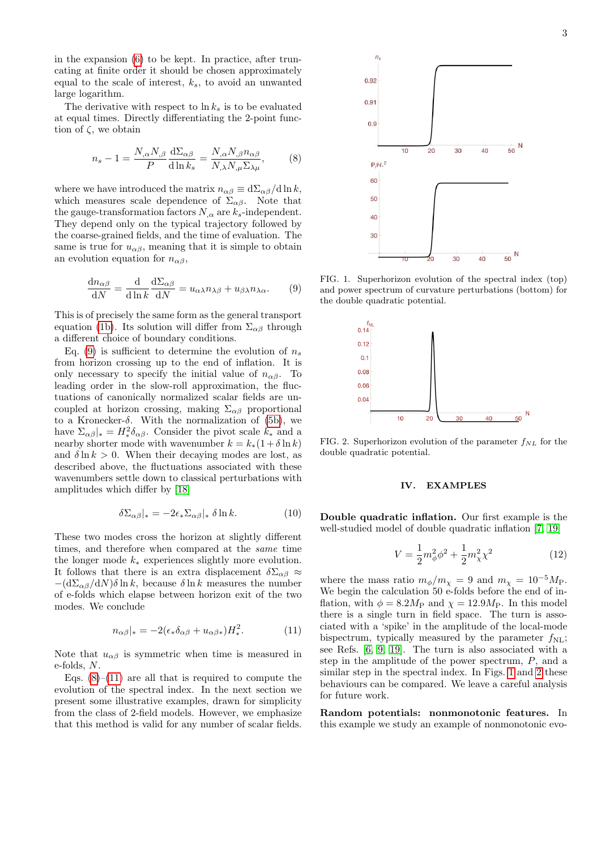in the expansion [\(6\)](#page-1-6) to be kept. In practice, after truncating at finite order it should be chosen approximately equal to the scale of interest,  $k_s$ , to avoid an unwanted large logarithm.

The derivative with respect to  $\ln k_s$  is to be evaluated at equal times. Directly differentiating the 2-point function of  $\zeta$ , we obtain

$$
n_s - 1 = \frac{N_{,\alpha} N_{,\beta}}{P} \frac{d\Sigma_{\alpha\beta}}{d\ln k_s} = \frac{N_{,\alpha} N_{,\beta} n_{\alpha\beta}}{N_{,\lambda} N_{,\mu} \Sigma_{\lambda \mu}},
$$
(8)

where we have introduced the matrix  $n_{\alpha\beta} \equiv d\Sigma_{\alpha\beta}/d\ln k$ , which measures scale dependence of  $\Sigma_{\alpha\beta}$ . Note that the gauge-transformation factors  $N_{,\alpha}$  are  $k_s$ -independent. They depend only on the typical trajectory followed by the coarse-grained fields, and the time of evaluation. The same is true for  $u_{\alpha\beta}$ , meaning that it is simple to obtain an evolution equation for  $n_{\alpha\beta}$ ,

<span id="page-3-0"></span>
$$
\frac{\mathrm{d}n_{\alpha\beta}}{\mathrm{d}N} = \frac{\mathrm{d}}{\mathrm{d}\ln k} \frac{\mathrm{d}\Sigma_{\alpha\beta}}{\mathrm{d}N} = u_{\alpha\lambda} n_{\lambda\beta} + u_{\beta\lambda} n_{\lambda\alpha}.\tag{9}
$$

This is of precisely the same form as the general transport equation [\(1b\)](#page-1-2). Its solution will differ from  $\Sigma_{\alpha\beta}$  through a different choice of boundary conditions.

Eq. [\(9\)](#page-2-1) is sufficient to determine the evolution of  $n_s$ from horizon crossing up to the end of inflation. It is only necessary to specify the initial value of  $n_{\alpha\beta}$ . To leading order in the slow-roll approximation, the fluctuations of canonically normalized scalar fields are uncoupled at horizon crossing, making  $\Sigma_{\alpha\beta}$  proportional to a Kronecker- $\delta$ . With the normalization of [\(5b\)](#page-1-7), we have  $\Sigma_{\alpha\beta}|_* = H_*^2 \delta_{\alpha\beta}$ . Consider the pivot scale  $k_*$  and a nearby shorter mode with wavenumber  $k = k_*(1 + \delta \ln k)$ and  $\delta \ln k > 0$ . When their decaying modes are lost, as described above, the fluctuations associated with these wavenumbers settle down to classical perturbations with amplitudes which differ by [\[18\]](#page-4-19)

$$
\delta \Sigma_{\alpha\beta}|_{*} = -2\epsilon_* \Sigma_{\alpha\beta}|_{*} \delta \ln k. \tag{10}
$$

These two modes cross the horizon at slightly different times, and therefore when compared at the same time the longer mode  $k_*$  experiences slightly more evolution. It follows that there is an extra displacement  $\delta \Sigma_{\alpha\beta} \approx$  $-(d\Sigma_{\alpha\beta}/dN)\delta \ln k$ , because  $\delta \ln k$  measures the number of e-folds which elapse between horizon exit of the two modes. We conclude

$$
n_{\alpha\beta}|_{*} = -2(\epsilon_{*}\delta_{\alpha\beta} + u_{\alpha\beta*})H_{*}^{2}.
$$
 (11)

Note that  $u_{\alpha\beta}$  is symmetric when time is measured in e-folds, N.

Eqs.  $(8)$ – $(11)$  are all that is required to compute the evolution of the spectral index. In the next section we present some illustrative examples, drawn for simplicity from the class of 2-field models. However, we emphasize that this method is valid for any number of scalar fields.



<span id="page-3-1"></span>FIG. 1. Superhorizon evolution of the spectral index (top) and power spectrum of curvature perturbations (bottom) for the double quadratic potential.



FIG. 2. Superhorizon evolution of the parameter  $f_{NL}$  for the double quadratic potential.

#### IV. EXAMPLES

Double quadratic inflation. Our first example is the well-studied model of double quadratic inflation [\[7,](#page-4-6) [19\]](#page-5-0)

$$
V = \frac{1}{2}m_{\phi}^{2}\phi^{2} + \frac{1}{2}m_{\chi}^{2}\chi^{2}
$$
 (12)

where the mass ratio  $m_{\phi}/m_{\chi} = 9$  and  $m_{\chi} = 10^{-5} M_{\text{P}}$ . We begin the calculation 50 e-folds before the end of inflation, with  $\phi = 8.2 M_{\text{P}}$  and  $\chi = 12.9 M_{\text{P}}$ . In this model there is a single turn in field space. The turn is associated with a 'spike' in the amplitude of the local-mode bispectrum, typically measured by the parameter  $f_{\text{NL}}$ ; see Refs. [\[6,](#page-4-5) [9,](#page-4-8) [19\]](#page-5-1). The turn is also associated with a step in the amplitude of the power spectrum, P, and a similar step in the spectral index. In Figs. [1](#page-2-4) and [2](#page-2-5) these behaviours can be compared. We leave a careful analysis for future work.

Random potentials: nonmonotonic features. In this example we study an example of nonmonotonic evo-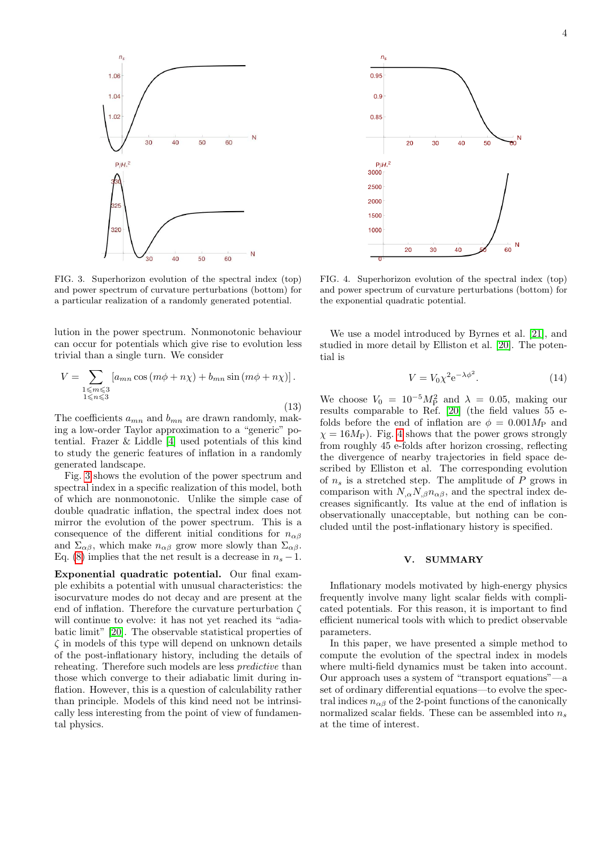

FIG. 3. Superhorizon evolution of the spectral index (top) and power spectrum of curvature perturbations (bottom) for a particular realization of a randomly generated potential.

lution in the power spectrum. Nonmonotonic behaviour can occur for potentials which give rise to evolution less trivial than a single turn. We consider

$$
V = \sum_{\substack{1 \le m \le 3 \\ 1 \le n \le 3}} \left[ a_{mn} \cos \left( m\phi + n\chi \right) + b_{mn} \sin \left( m\phi + n\chi \right) \right].
$$
\n
$$
(13)
$$

<span id="page-4-1"></span><span id="page-4-0"></span>The coefficients  $a_{mn}$  and  $b_{mn}$  are drawn randomly, making a low-order Taylor approximation to a "generic" potential. Frazer & Liddle [\[4\]](#page-4-3) used potentials of this kind to study the generic features of inflation in a randomly generated landscape.

<span id="page-4-4"></span><span id="page-4-3"></span><span id="page-4-2"></span>Fig. [3](#page-3-0) shows the evolution of the power spectrum and spectral index in a specific realization of this model, both of which are nonmonotonic. Unlike the simple case of double quadratic inflation, the spectral index does not mirror the evolution of the power spectrum. This is a consequence of the different initial conditions for  $n_{\alpha\beta}$ and  $\Sigma_{\alpha\beta}$ , which make  $n_{\alpha\beta}$  grow more slowly than  $\Sigma_{\alpha\beta}$ . Eq. [\(8\)](#page-2-2) implies that the net result is a decrease in  $n_s - 1$ .

<span id="page-4-13"></span><span id="page-4-9"></span><span id="page-4-8"></span><span id="page-4-7"></span><span id="page-4-6"></span><span id="page-4-5"></span>Exponential quadratic potential. Our final example exhibits a potential with unusual characteristics: the isocurvature modes do not decay and are present at the end of inflation. Therefore the curvature perturbation  $\zeta$ will continue to evolve: it has not yet reached its "adiabatic limit" [\[20\]](#page-5-2). The observable statistical properties of  $\zeta$  in models of this type will depend on unknown details of the post-inflationary history, including the details of reheating. Therefore such models are less predictive than those which converge to their adiabatic limit during inflation. However, this is a question of calculability rather than principle. Models of this kind need not be intrinsically less interesting from the point of view of fundamental physics.



FIG. 4. Superhorizon evolution of the spectral index (top) and power spectrum of curvature perturbations (bottom) for the exponential quadratic potential.

We use a model introduced by Byrnes et al. [\[21\]](#page-5-3), and studied in more detail by Elliston et al. [\[20\]](#page-5-2). The potential is

$$
V = V_0 \chi^2 e^{-\lambda \phi^2}.
$$
 (14)

<span id="page-4-15"></span><span id="page-4-14"></span>We choose  $V_0 = 10^{-5} M_{\rm P}^2$  and  $\lambda = 0.05$ , making our results comparable to Ref. [\[20\]](#page-5-2) (the field values 55 efolds before the end of inflation are  $\phi = 0.001 M_{\rm P}$  and  $\chi = 16M_P$ ). Fig. [4](#page-3-1) shows that the power grows strongly from roughly 45 e-folds after horizon crossing, reflecting the divergence of nearby trajectories in field space described by Elliston et al. The corresponding evolution of  $n<sub>s</sub>$  is a stretched step. The amplitude of P grows in comparison with  $N_{,\alpha}N_{,\beta}n_{\alpha\beta}$ , and the spectral index decreases significantly. Its value at the end of inflation is observationally unacceptable, but nothing can be concluded until the post-inflationary history is specified.

#### <span id="page-4-17"></span>V. SUMMARY

<span id="page-4-16"></span><span id="page-4-11"></span>Inflationary models motivated by high-energy physics frequently involve many light scalar fields with complicated potentials. For this reason, it is important to find efficient numerical tools with which to predict observable parameters.

<span id="page-4-19"></span><span id="page-4-18"></span><span id="page-4-12"></span><span id="page-4-10"></span>In this paper, we have presented a simple method to compute the evolution of the spectral index in models where multi-field dynamics must be taken into account. Our approach uses a system of "transport equations"—a set of ordinary differential equations—to evolve the spectral indices  $n_{\alpha\beta}$  of the 2-point functions of the canonically normalized scalar fields. These can be assembled into  $n_s$ at the time of interest.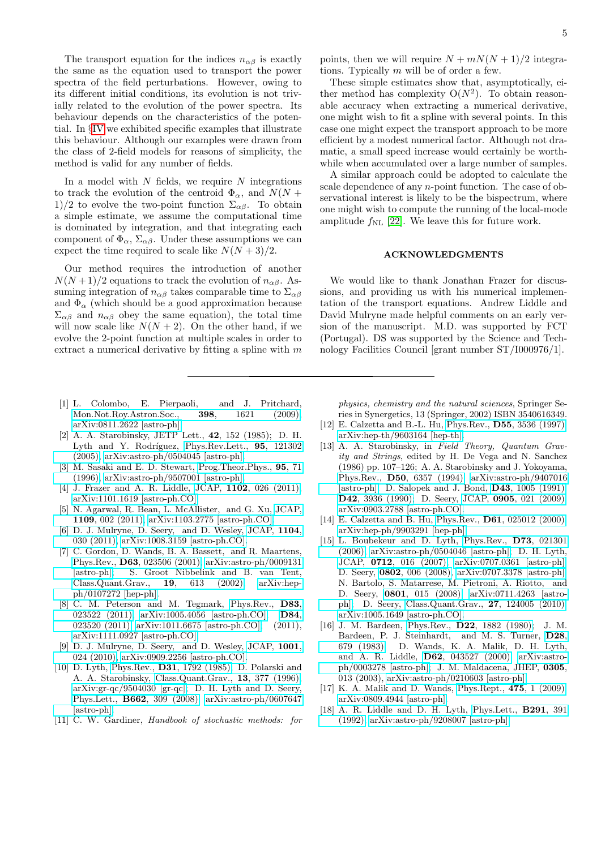<span id="page-5-2"></span><span id="page-5-1"></span><span id="page-5-0"></span>The transport equation for the indices  $n_{\alpha\beta}$  is exactly the same as the equation used to transport the power spectra of the field perturbations. However, owing to its different initial conditions, its evolution is not trivially related to the evolution of the power spectra. Its behaviour depends on the characteristics of the potential. In §[IV](#page-2-0) we exhibited specific examples that illustrate this behaviour. Although our examples were drawn from the class of 2-field models for reasons of simplicity, the method is valid for any number of fields.

In a model with  $N$  fields, we require  $N$  integrations to track the evolution of the centroid  $\Phi_{\alpha}$ , and  $N(N +$ 1)/2 to evolve the two-point function  $\Sigma_{\alpha\beta}$ . To obtain a simple estimate, we assume the computational time is dominated by integration, and that integrating each component of  $\Phi_{\alpha}$ ,  $\Sigma_{\alpha\beta}$ . Under these assumptions we can expect the time required to scale like  $N(N+3)/2$ .

Our method requires the introduction of another  $N(N+1)/2$  equations to track the evolution of  $n_{\alpha\beta}$ . Assuming integration of  $n_{\alpha\beta}$  takes comparable time to  $\Sigma_{\alpha\beta}$ and  $\Phi_{\alpha}$  (which should be a good approximation because  $\Sigma_{\alpha\beta}$  and  $n_{\alpha\beta}$  obey the same equation), the total time will now scale like  $N(N + 2)$ . On the other hand, if we evolve the 2-point function at multiple scales in order to extract a numerical derivative by fitting a spline with  $m$ 

- [1] L. Colombo, E. Pierpaoli, and J. Pritchard, Mon.Not.Roy.Astron.Soc., 398, 1621 (2009), [Mon.Not.Roy.Astron.Soc.,](http://dx.doi.org/10.1111/j.1365-2966.2009.14802.x) 398, 1621 (2009), [arXiv:0811.2622 \[astro-ph\].](http://arxiv.org/abs/0811.2622)
- [2] A. A. Starobinsky, JETP Lett., 42, 152 (1985); D. H. Lyth and Y. Rodríguez, [Phys.Rev.Lett.,](http://dx.doi.org/10.1103/PhysRevLett.95.121302) 95, 121302 [\(2005\),](http://dx.doi.org/10.1103/PhysRevLett.95.121302) [arXiv:astro-ph/0504045 \[astro-ph\].](http://arxiv.org/abs/astro-ph/0504045)
- [3] M. Sasaki and E. D. Stewart, [Prog.Theor.Phys.,](http://dx.doi.org/10.1143/PTP.95.71) 95, 71 [\(1996\),](http://dx.doi.org/10.1143/PTP.95.71) [arXiv:astro-ph/9507001 \[astro-ph\].](http://arxiv.org/abs/astro-ph/9507001)
- [4] J. Frazer and A. R. Liddle, JCAP, 1102[, 026 \(2011\),](http://dx.doi.org/10.1088/1475-7516/2011/02/026) [arXiv:1101.1619 \[astro-ph.CO\].](http://arxiv.org/abs/1101.1619)
- [5] N. Agarwal, R. Bean, L. McAllister, and G. Xu, [JCAP,](http://dx.doi.org/10.1088/1475-7516/2011/09/002) 1109[, 002 \(2011\),](http://dx.doi.org/10.1088/1475-7516/2011/09/002) [arXiv:1103.2775 \[astro-ph.CO\].](http://arxiv.org/abs/1103.2775)
- [6] D. J. Mulryne, D. Seery, and D. Wesley, [JCAP,](http://dx.doi.org/10.1088/1475-7516/2011/04/030) 1104, [030 \(2011\),](http://dx.doi.org/10.1088/1475-7516/2011/04/030) [arXiv:1008.3159 \[astro-ph.CO\].](http://arxiv.org/abs/1008.3159)
- [7] C. Gordon, D. Wands, B. A. Bassett, and R. Maartens, Phys.Rev., D63[, 023506 \(2001\),](http://dx.doi.org/10.1103/PhysRevD.63.023506) [arXiv:astro-ph/0009131](http://arxiv.org/abs/astro-ph/0009131) [\[astro-ph\];](http://arxiv.org/abs/astro-ph/0009131) S. Groot Nibbelink and B. van Tent, [Class.Quant.Grav.,](http://dx.doi.org/10.1088/0264-9381/19/4/302) 19, 613 (2002), [arXiv:hep](http://arxiv.org/abs/hep-ph/0107272)[ph/0107272 \[hep-ph\].](http://arxiv.org/abs/hep-ph/0107272)
- [8] C. M. Peterson and M. Tegmark, [Phys.Rev.,](http://dx.doi.org/10.1103/PhysRevD.83.023522) D83, [023522 \(2011\),](http://dx.doi.org/10.1103/PhysRevD.83.023522) [arXiv:1005.4056 \[astro-ph.CO\];](http://arxiv.org/abs/1005.4056) [D84](http://dx.doi.org/10.1103/PhysRevD.84.023520), [023520 \(2011\),](http://dx.doi.org/10.1103/PhysRevD.84.023520) [arXiv:1011.6675 \[astro-ph.CO\];](http://arxiv.org/abs/1011.6675) (2011), [arXiv:1111.0927 \[astro-ph.CO\].](http://arxiv.org/abs/1111.0927)
- [9] D. J. Mulryne, D. Seery, and D. Wesley, [JCAP,](http://dx.doi.org/10.1088/1475-7516/2010/01/024) 1001, [024 \(2010\),](http://dx.doi.org/10.1088/1475-7516/2010/01/024) [arXiv:0909.2256 \[astro-ph.CO\].](http://arxiv.org/abs/0909.2256)
- [10] D. Lyth, Phys.Rev., D31[, 1792 \(1985\);](http://dx.doi.org/10.1103/PhysRevD.31.1792) D. Polarski and A. A. Starobinsky, [Class.Quant.Grav.,](http://dx.doi.org/10.1088/0264-9381/13/3/006) 13, 377 (1996), [arXiv:gr-qc/9504030 \[gr-qc\];](http://arxiv.org/abs/gr-qc/9504030) D. H. Lyth and D. Seery, Phys.Lett., B662[, 309 \(2008\),](http://dx.doi.org/10.1016/j.physletb.2008.03.010) [arXiv:astro-ph/0607647](http://arxiv.org/abs/astro-ph/0607647) [\[astro-ph\].](http://arxiv.org/abs/astro-ph/0607647)
- [11] C. W. Gardiner, Handbook of stochastic methods: for

<span id="page-5-3"></span>points, then we will require  $N + mN(N + 1)/2$  integrations. Typically m will be of order a few.

<span id="page-5-4"></span>These simple estimates show that, asymptotically, either method has complexity  $O(N^2)$ . To obtain reasonable accuracy when extracting a numerical derivative, one might wish to fit a spline with several points. In this case one might expect the transport approach to be more efficient by a modest numerical factor. Although not dramatic, a small speed increase would certainly be worthwhile when accumulated over a large number of samples.

A similar approach could be adopted to calculate the scale dependence of any n-point function. The case of observational interest is likely to be the bispectrum, where one might wish to compute the running of the local-mode amplitude  $f_{\rm NL}$  [\[22\]](#page-5-4). We leave this for future work.

### ACKNOWLEDGMENTS

We would like to thank Jonathan Frazer for discussions, and providing us with his numerical implementation of the transport equations. Andrew Liddle and David Mulryne made helpful comments on an early version of the manuscript. M.D. was supported by FCT (Portugal). DS was supported by the Science and Technology Facilities Council [grant number ST/I000976/1].

physics, chemistry and the natural sciences, Springer Series in Synergetics, 13 (Springer, 2002) ISBN 3540616349.

- [12] E. Calzetta and B.-L. Hu, Phys.Rev., D55[, 3536 \(1997\),](http://dx.doi.org/10.1103/PhysRevD.55.3536) [arXiv:hep-th/9603164 \[hep-th\].](http://arxiv.org/abs/hep-th/9603164)
- [13] A. A. Starobinsky, in Field Theory, Quantum Gravity and Strings, edited by H. De Vega and N. Sanchez (1986) pp. 107–126; A. A. Starobinsky and J. Yokoyama, Phys.Rev., D50[, 6357 \(1994\),](http://dx.doi.org/10.1103/PhysRevD.50.6357) [arXiv:astro-ph/9407016](http://arxiv.org/abs/astro-ph/9407016) [\[astro-ph\];](http://arxiv.org/abs/astro-ph/9407016) D. Salopek and J. Bond, D43[, 1005 \(1991\);](http://dx.doi.org/10.1103/PhysRevD.43.1005) D42[, 3936 \(1990\);](http://dx.doi.org/10.1103/PhysRevD.42.3936) D. Seery, JCAP, 0905[, 021 \(2009\),](http://dx.doi.org/10.1088/1475-7516/2009/05/021) [arXiv:0903.2788 \[astro-ph.CO\].](http://arxiv.org/abs/0903.2788)
- [14] E. Calzetta and B. Hu, Phys.Rev., D61[, 025012 \(2000\),](http://dx.doi.org/10.1103/PhysRevD.61.025012) [arXiv:hep-ph/9903291 \[hep-ph\].](http://arxiv.org/abs/hep-ph/9903291)
- [15] L. Boubekeur and D. Lyth, [Phys.Rev.,](http://dx.doi.org/10.1103/PhysRevD.73.021301) D73, 021301 [\(2006\),](http://dx.doi.org/10.1103/PhysRevD.73.021301) [arXiv:astro-ph/0504046 \[astro-ph\];](http://arxiv.org/abs/astro-ph/0504046) D. H. Lyth, JCAP, 0712[, 016 \(2007\),](http://dx.doi.org/10.1088/1475-7516/2007/12/016) [arXiv:0707.0361 \[astro-ph\];](http://arxiv.org/abs/0707.0361) D. Seery, 0802[, 006 \(2008\),](http://dx.doi.org/10.1088/1475-7516/2008/02/006) [arXiv:0707.3378 \[astro-ph\];](http://arxiv.org/abs/0707.3378) N. Bartolo, S. Matarrese, M. Pietroni, A. Riotto, and D. Seery, 0801[, 015 \(2008\),](http://dx.doi.org/10.1088/1475-7516/2008/01/015) [arXiv:0711.4263 \[astro](http://arxiv.org/abs/0711.4263)[ph\];](http://arxiv.org/abs/0711.4263) D. Seery, [Class.Quant.Grav.,](http://dx.doi.org/10.1088/0264-9381/27/12/124005) 27, 124005 (2010), [arXiv:1005.1649 \[astro-ph.CO\].](http://arxiv.org/abs/1005.1649)
- [16] J. M. Bardeen, Phys.Rev., D22[, 1882 \(1980\);](http://dx.doi.org/10.1103/PhysRevD.22.1882) J. M. Bardeen, P. J. Steinhardt, and M. S. Turner, [D28](http://dx.doi.org/10.1103/PhysRevD.28.679), [679 \(1983\);](http://dx.doi.org/10.1103/PhysRevD.28.679) D. Wands, K. A. Malik, D. H. Lyth, and A. R. Liddle, D62[, 043527 \(2000\),](http://dx.doi.org/10.1103/PhysRevD.62.043527) [arXiv:astro](http://arxiv.org/abs/astro-ph/0003278)[ph/0003278 \[astro-ph\];](http://arxiv.org/abs/astro-ph/0003278) J. M. Maldacena, JHEP, 0305, 013 (2003), [arXiv:astro-ph/0210603 \[astro-ph\].](http://arxiv.org/abs/astro-ph/0210603)
- [17] K. A. Malik and D. Wands, [Phys.Rept.,](http://dx.doi.org/10.1016/j.physrep.2009.03.001) 475, 1 (2009), [arXiv:0809.4944 \[astro-ph\].](http://arxiv.org/abs/0809.4944)
- [18] A. R. Liddle and D. H. Lyth, [Phys.Lett.,](http://dx.doi.org/10.1016/0370-2693(92)91393-N) **B291**, 391 [\(1992\),](http://dx.doi.org/10.1016/0370-2693(92)91393-N) [arXiv:astro-ph/9208007 \[astro-ph\].](http://arxiv.org/abs/astro-ph/9208007)